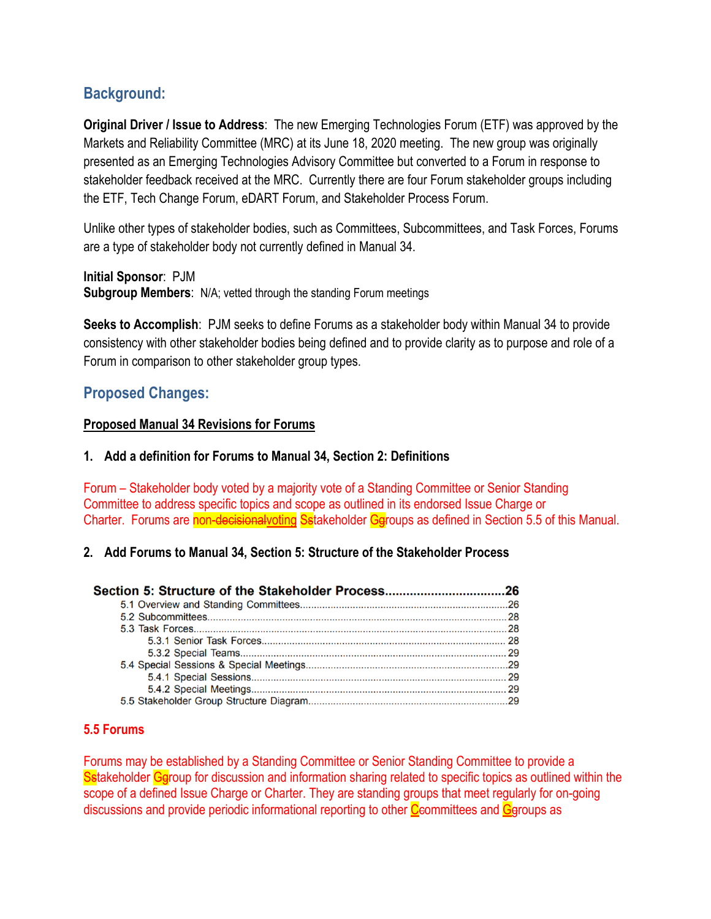# **Background:**

**Original Driver / Issue to Address**: The new Emerging Technologies Forum (ETF) was approved by the Markets and Reliability Committee (MRC) at its June 18, 2020 meeting. The new group was originally presented as an Emerging Technologies Advisory Committee but converted to a Forum in response to stakeholder feedback received at the MRC. Currently there are four Forum stakeholder groups including the ETF, Tech Change Forum, eDART Forum, and Stakeholder Process Forum.

Unlike other types of stakeholder bodies, such as Committees, Subcommittees, and Task Forces, Forums are a type of stakeholder body not currently defined in Manual 34.

**Initial Sponsor**: PJM **Subgroup Members**: N/A; vetted through the standing Forum meetings

**Seeks to Accomplish**: PJM seeks to define Forums as a stakeholder body within Manual 34 to provide consistency with other stakeholder bodies being defined and to provide clarity as to purpose and role of a Forum in comparison to other stakeholder group types.

## **Proposed Changes:**

### **Proposed Manual 34 Revisions for Forums**

### **1. Add a definition for Forums to Manual 34, Section 2: Definitions**

Forum – Stakeholder body voted by a majority vote of a Standing Committee or Senior Standing Committee to address specific topics and scope as outlined in its endorsed Issue Charge or Charter. Forums are non-decisionalvoting Sstakeholder Ggroups as defined in Section 5.5 of this Manual.

### **2. Add Forums to Manual 34, Section 5: Structure of the Stakeholder Process**

| Section 5: Structure of the Stakeholder Process26 |  |
|---------------------------------------------------|--|
|                                                   |  |
|                                                   |  |
|                                                   |  |
|                                                   |  |
|                                                   |  |
|                                                   |  |
|                                                   |  |
|                                                   |  |
|                                                   |  |

### **5.5 Forums**

Forums may be established by a Standing Committee or Senior Standing Committee to provide a Sstakeholder Geroup for discussion and information sharing related to specific topics as outlined within the scope of a defined Issue Charge or Charter. They are standing groups that meet regularly for on-going discussions and provide periodic informational reporting to other  $C$  committees and  $C$  groups as